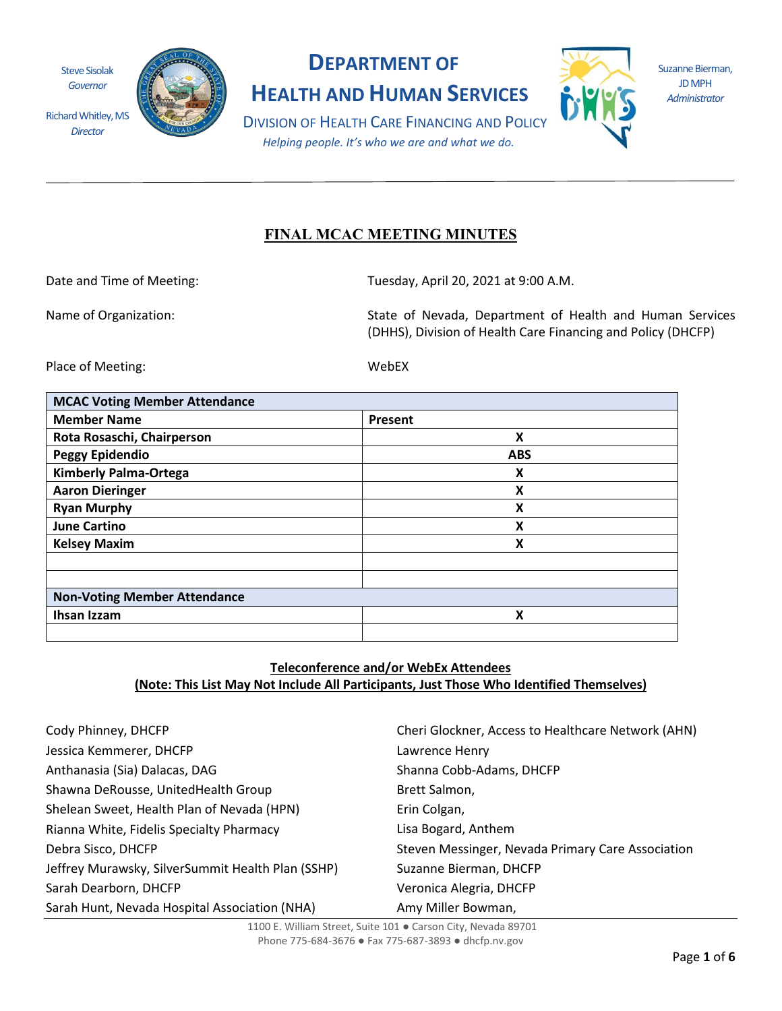Steve Sisolak *Governor*

*Director*



# **DEPARTMENT OF**

**HEALTH AND HUMAN SERVICES**



Suzanne Bierman, JD MPH *Administrator*

DIVISION OF HEALTH CARE FINANCING AND POLICY *Helping people. It's who we are and what we do.*

# **FINAL MCAC MEETING MINUTES**

Date and Time of Meeting: Tuesday, April 20, 2021 at 9:00 A.M.

Name of Organization: State of Nevada, Department of Health and Human Services (DHHS), Division of Health Care Financing and Policy (DHCFP)

Place of Meeting: WebEX

| <b>MCAC Voting Member Attendance</b> |            |
|--------------------------------------|------------|
| <b>Member Name</b>                   | Present    |
| Rota Rosaschi, Chairperson           | X          |
| <b>Peggy Epidendio</b>               | <b>ABS</b> |
| <b>Kimberly Palma-Ortega</b>         | X          |
| <b>Aaron Dieringer</b>               | X          |
| <b>Ryan Murphy</b>                   | X          |
| <b>June Cartino</b>                  | X          |
| <b>Kelsey Maxim</b>                  | X          |
|                                      |            |
|                                      |            |
| <b>Non-Voting Member Attendance</b>  |            |
| Ihsan Izzam                          | X          |
|                                      |            |

# **Teleconference and/or WebEx Attendees (Note: This List May Not Include All Participants, Just Those Who Identified Themselves)**

| Cody Phinney, DHCFP                               | Cheri Glockner, Access to Healthcare Network (AHN) |
|---------------------------------------------------|----------------------------------------------------|
| Jessica Kemmerer, DHCFP                           | Lawrence Henry                                     |
| Anthanasia (Sia) Dalacas, DAG                     | Shanna Cobb-Adams, DHCFP                           |
| Shawna DeRousse, UnitedHealth Group               | Brett Salmon,                                      |
| Shelean Sweet, Health Plan of Nevada (HPN)        | Erin Colgan,                                       |
| Rianna White, Fidelis Specialty Pharmacy          | Lisa Bogard, Anthem                                |
| Debra Sisco, DHCFP                                | Steven Messinger, Nevada Primary Care Association  |
| Jeffrey Murawsky, SilverSummit Health Plan (SSHP) | Suzanne Bierman, DHCFP                             |
| Sarah Dearborn, DHCFP                             | Veronica Alegria, DHCFP                            |
| Sarah Hunt, Nevada Hospital Association (NHA)     | Amy Miller Bowman,                                 |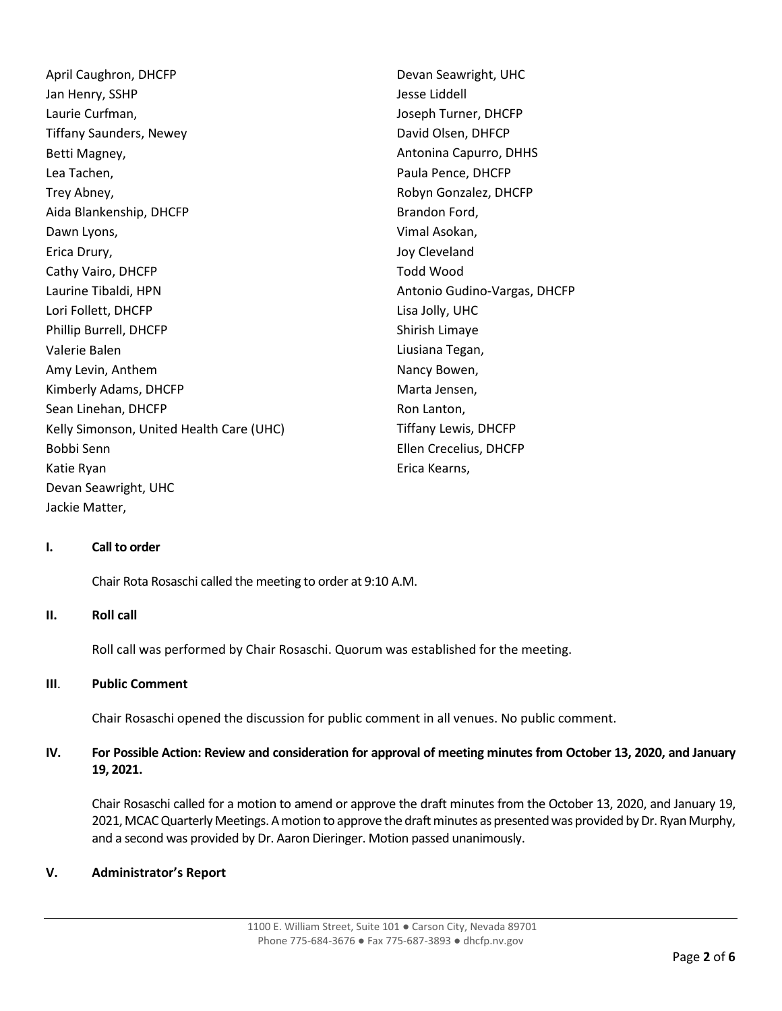April Caughron, DHCFP Jan Henry, SSHP Laurie Curfman, Tiffany Saunders, Newey Betti Magney, Lea Tachen, Trey Abney, Aida Blankenship, DHCFP Dawn Lyons, Erica Drury, Cathy Vairo, DHCFP Laurine Tibaldi, HPN Lori Follett, DHCFP Phillip Burrell, DHCFP Valerie Balen Amy Levin, Anthem Kimberly Adams, DHCFP Sean Linehan, DHCFP Kelly Simonson, United Health Care (UHC) Bobbi Senn Katie Ryan Devan Seawright, UHC Devan Seawright, UHC Jesse Liddell Joseph Turner, DHCFP David Olsen, DHFCP Paula Pence, DHCFP Brandon Ford, Vimal Asokan, Joy Cleveland Todd Wood Lisa Jolly, UHC Shirish Limaye Liusiana Tegan, Nancy Bowen, Marta Jensen, Ron Lanton, Tiffany Lewis, DHCFP Ellen Crecelius, DHCFP Erica Kearns, Jackie Matter,

Antonina Capurro, DHHS Robyn Gonzalez, DHCFP Antonio Gudino-Vargas, DHCFP

#### **I. Call to order**

Chair Rota Rosaschi called the meeting to order at 9:10 A.M.

#### **II. Roll call**

Roll call was performed by Chair Rosaschi. Quorum was established for the meeting.

#### **III**. **Public Comment**

Chair Rosaschi opened the discussion for public comment in all venues. No public comment.

# **IV. For Possible Action: Review and consideration for approval of meeting minutes from October 13, 2020, and January 19, 2021.**

Chair Rosaschi called for a motion to amend or approve the draft minutes from the October 13, 2020, and January 19, 2021,MCAC Quarterly Meetings. A motion to approve the draft minutes as presented was provided by Dr. Ryan Murphy, and a second was provided by Dr. Aaron Dieringer. Motion passed unanimously.

#### **V. Administrator's Report**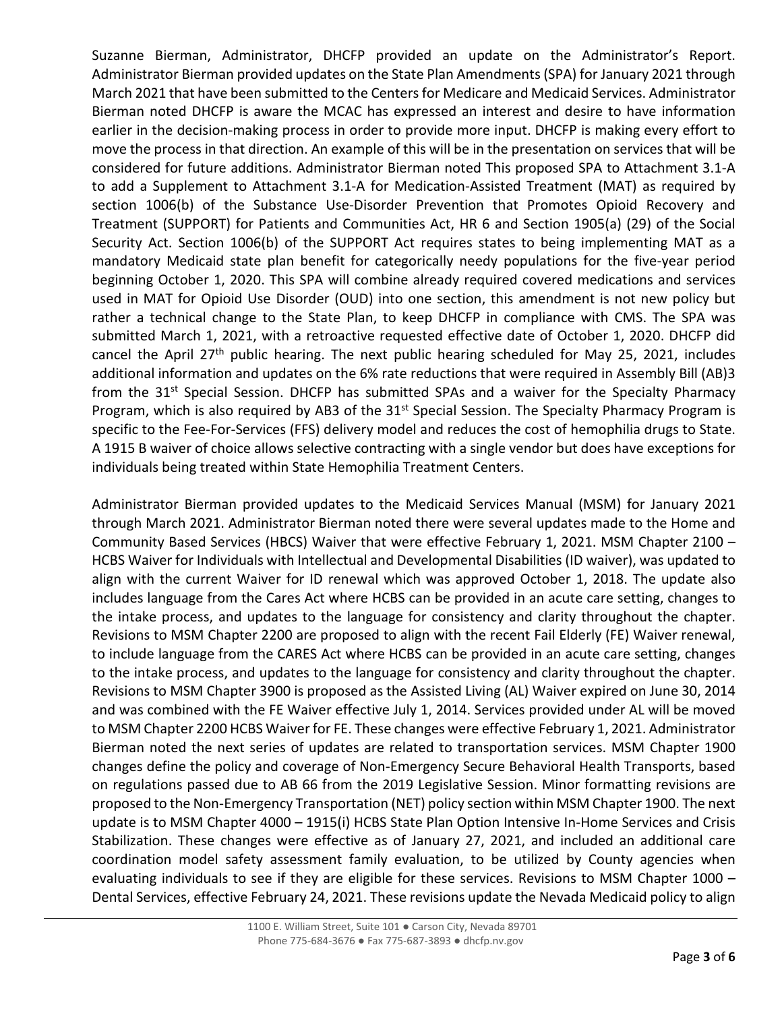Suzanne Bierman, Administrator, DHCFP provided an update on the Administrator's Report. Administrator Bierman provided updates on the State Plan Amendments(SPA) for January 2021 through March 2021 that have been submitted to the Centers for Medicare and Medicaid Services. Administrator Bierman noted DHCFP is aware the MCAC has expressed an interest and desire to have information earlier in the decision-making process in order to provide more input. DHCFP is making every effort to move the process in that direction. An example of this will be in the presentation on services that will be considered for future additions. Administrator Bierman noted This proposed SPA to Attachment 3.1-A to add a Supplement to Attachment 3.1-A for Medication-Assisted Treatment (MAT) as required by section 1006(b) of the Substance Use-Disorder Prevention that Promotes Opioid Recovery and Treatment (SUPPORT) for Patients and Communities Act, HR 6 and Section 1905(a) (29) of the Social Security Act. Section 1006(b) of the SUPPORT Act requires states to being implementing MAT as a mandatory Medicaid state plan benefit for categorically needy populations for the five-year period beginning October 1, 2020. This SPA will combine already required covered medications and services used in MAT for Opioid Use Disorder (OUD) into one section, this amendment is not new policy but rather a technical change to the State Plan, to keep DHCFP in compliance with CMS. The SPA was submitted March 1, 2021, with a retroactive requested effective date of October 1, 2020. DHCFP did cancel the April 27<sup>th</sup> public hearing. The next public hearing scheduled for May 25, 2021, includes additional information and updates on the 6% rate reductions that were required in Assembly Bill (AB)3 from the 31<sup>st</sup> Special Session. DHCFP has submitted SPAs and a waiver for the Specialty Pharmacy Program, which is also required by AB3 of the 31<sup>st</sup> Special Session. The Specialty Pharmacy Program is specific to the Fee-For-Services (FFS) delivery model and reduces the cost of hemophilia drugs to State. A 1915 B waiver of choice allows selective contracting with a single vendor but does have exceptions for individuals being treated within State Hemophilia Treatment Centers.

Administrator Bierman provided updates to the Medicaid Services Manual (MSM) for January 2021 through March 2021. Administrator Bierman noted there were several updates made to the Home and Community Based Services (HBCS) Waiver that were effective February 1, 2021. MSM Chapter 2100 – HCBS Waiver for Individuals with Intellectual and Developmental Disabilities (ID waiver), was updated to align with the current Waiver for ID renewal which was approved October 1, 2018. The update also includes language from the Cares Act where HCBS can be provided in an acute care setting, changes to the intake process, and updates to the language for consistency and clarity throughout the chapter. Revisions to MSM Chapter 2200 are proposed to align with the recent Fail Elderly (FE) Waiver renewal, to include language from the CARES Act where HCBS can be provided in an acute care setting, changes to the intake process, and updates to the language for consistency and clarity throughout the chapter. Revisions to MSM Chapter 3900 is proposed as the Assisted Living (AL) Waiver expired on June 30, 2014 and was combined with the FE Waiver effective July 1, 2014. Services provided under AL will be moved to MSM Chapter 2200 HCBS Waiver for FE. These changes were effective February 1, 2021. Administrator Bierman noted the next series of updates are related to transportation services. MSM Chapter 1900 changes define the policy and coverage of Non-Emergency Secure Behavioral Health Transports, based on regulations passed due to AB 66 from the 2019 Legislative Session. Minor formatting revisions are proposed to the Non-Emergency Transportation (NET) policy section within MSM Chapter 1900. The next update is to MSM Chapter 4000 – 1915(i) HCBS State Plan Option Intensive In-Home Services and Crisis Stabilization. These changes were effective as of January 27, 2021, and included an additional care coordination model safety assessment family evaluation, to be utilized by County agencies when evaluating individuals to see if they are eligible for these services. Revisions to MSM Chapter 1000 – Dental Services, effective February 24, 2021. These revisions update the Nevada Medicaid policy to align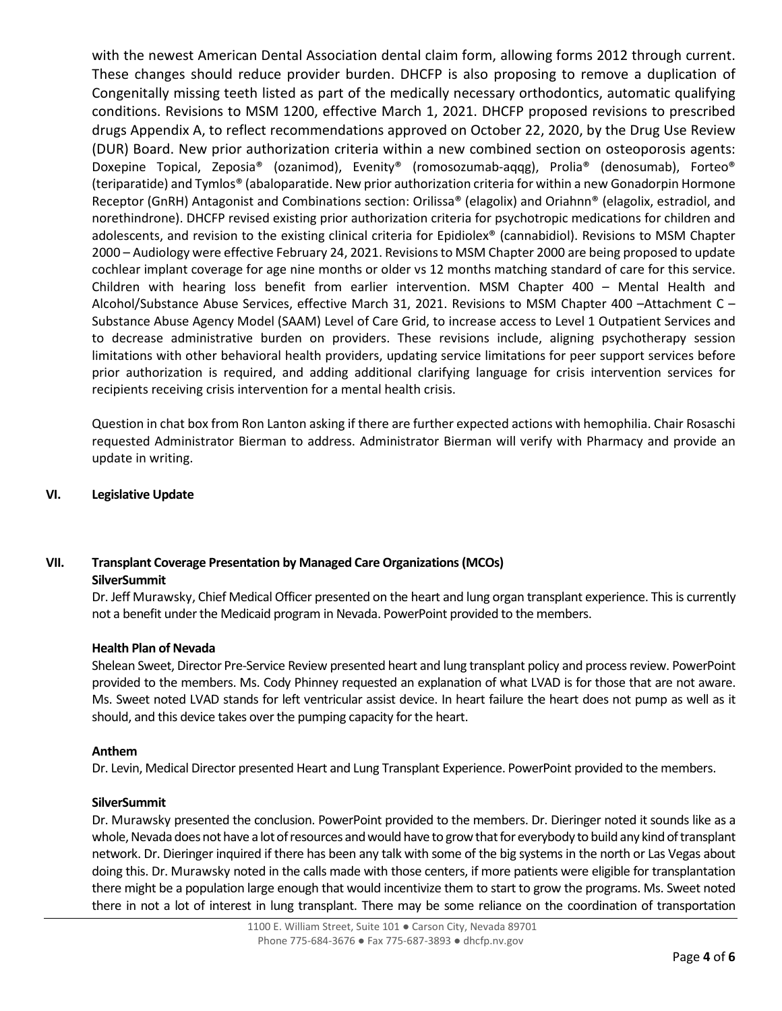with the newest American Dental Association dental claim form, allowing forms 2012 through current. These changes should reduce provider burden. DHCFP is also proposing to remove a duplication of Congenitally missing teeth listed as part of the medically necessary orthodontics, automatic qualifying conditions. Revisions to MSM 1200, effective March 1, 2021. DHCFP proposed revisions to prescribed drugs Appendix A, to reflect recommendations approved on October 22, 2020, by the Drug Use Review (DUR) Board. New prior authorization criteria within a new combined section on osteoporosis agents: Doxepine Topical, Zeposia® (ozanimod), Evenity® (romosozumab-aqqg), Prolia® (denosumab), Forteo® (teriparatide) and Tymlos® (abaloparatide. New prior authorization criteria for within a new Gonadorpin Hormone Receptor (GnRH) Antagonist and Combinations section: Orilissa® (elagolix) and Oriahnn® (elagolix, estradiol, and norethindrone). DHCFP revised existing prior authorization criteria for psychotropic medications for children and adolescents, and revision to the existing clinical criteria for Epidiolex® (cannabidiol). Revisions to MSM Chapter 2000 – Audiology were effective February 24, 2021. Revisions to MSM Chapter 2000 are being proposed to update cochlear implant coverage for age nine months or older vs 12 months matching standard of care for this service. Children with hearing loss benefit from earlier intervention. MSM Chapter 400 – Mental Health and Alcohol/Substance Abuse Services, effective March 31, 2021. Revisions to MSM Chapter 400 –Attachment C – Substance Abuse Agency Model (SAAM) Level of Care Grid, to increase access to Level 1 Outpatient Services and to decrease administrative burden on providers. These revisions include, aligning psychotherapy session limitations with other behavioral health providers, updating service limitations for peer support services before prior authorization is required, and adding additional clarifying language for crisis intervention services for recipients receiving crisis intervention for a mental health crisis.

Question in chat box from Ron Lanton asking if there are further expected actions with hemophilia. Chair Rosaschi requested Administrator Bierman to address. Administrator Bierman will verify with Pharmacy and provide an update in writing.

# **VI. Legislative Update**

# **VII. Transplant Coverage Presentation by Managed Care Organizations (MCOs)**

# **SilverSummit**

Dr. Jeff Murawsky, Chief Medical Officer presented on the heart and lung organ transplant experience. This is currently not a benefit under the Medicaid program in Nevada. PowerPoint provided to the members.

#### **Health Plan of Nevada**

Shelean Sweet, Director Pre-Service Review presented heart and lung transplant policy and process review. PowerPoint provided to the members. Ms. Cody Phinney requested an explanation of what LVAD is for those that are not aware. Ms. Sweet noted LVAD stands for left ventricular assist device. In heart failure the heart does not pump as well as it should, and this device takes over the pumping capacity for the heart.

#### **Anthem**

Dr. Levin, Medical Director presented Heart and Lung Transplant Experience. PowerPoint provided to the members.

#### **SilverSummit**

Dr. Murawsky presented the conclusion. PowerPoint provided to the members. Dr. Dieringer noted it sounds like as a whole, Nevada does not have a lot of resources and would have to grow that for everybody to build any kind of transplant network. Dr. Dieringer inquired if there has been any talk with some of the big systems in the north or Las Vegas about doing this. Dr. Murawsky noted in the calls made with those centers, if more patients were eligible for transplantation there might be a population large enough that would incentivize them to start to grow the programs. Ms. Sweet noted there in not a lot of interest in lung transplant. There may be some reliance on the coordination of transportation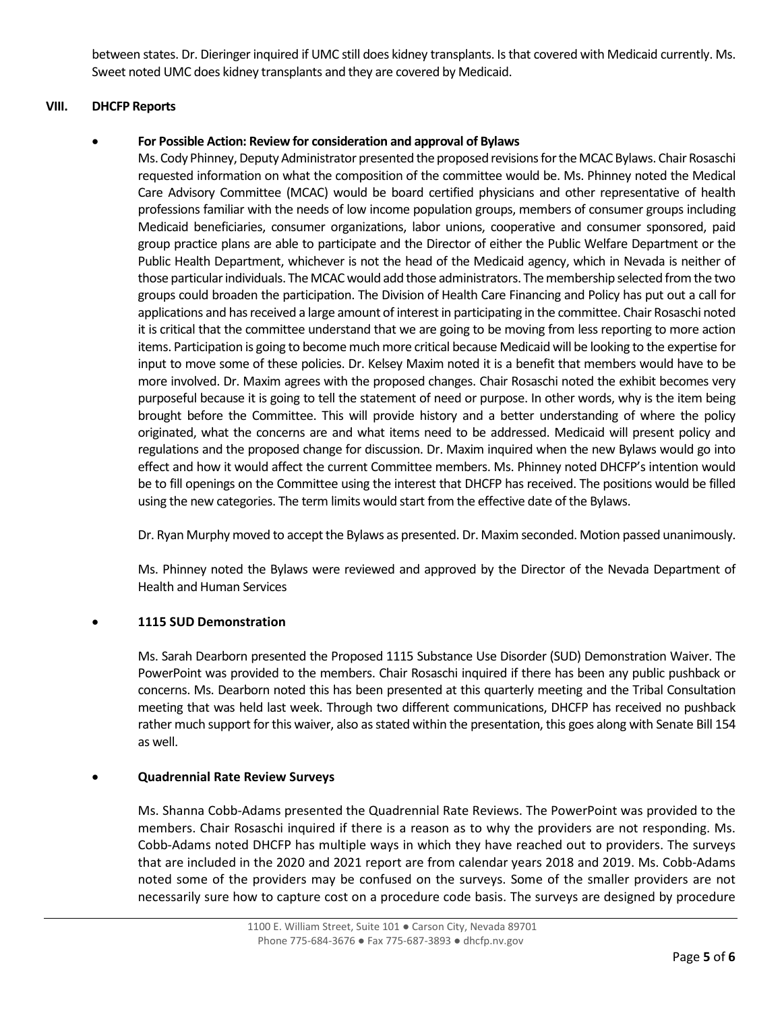between states. Dr. Dieringer inquired if UMC still does kidney transplants. Is that covered with Medicaid currently. Ms. Sweet noted UMC does kidney transplants and they are covered by Medicaid.

## **VIII. DHCFP Reports**

# • **For Possible Action: Review for consideration and approval of Bylaws**

Ms. Cody Phinney, Deputy Administrator presented the proposed revisions for the MCAC Bylaws. Chair Rosaschi requested information on what the composition of the committee would be. Ms. Phinney noted the Medical Care Advisory Committee (MCAC) would be board certified physicians and other representative of health professions familiar with the needs of low income population groups, members of consumer groups including Medicaid beneficiaries, consumer organizations, labor unions, cooperative and consumer sponsored, paid group practice plans are able to participate and the Director of either the Public Welfare Department or the Public Health Department, whichever is not the head of the Medicaid agency, which in Nevada is neither of those particular individuals. The MCAC would add those administrators. The membership selected from the two groups could broaden the participation. The Division of Health Care Financing and Policy has put out a call for applications and has received a large amount of interest in participating in the committee. Chair Rosaschi noted it is critical that the committee understand that we are going to be moving from less reporting to more action items. Participation is going to become much more critical because Medicaid will be looking to the expertise for input to move some of these policies. Dr. Kelsey Maxim noted it is a benefit that members would have to be more involved. Dr. Maxim agrees with the proposed changes. Chair Rosaschi noted the exhibit becomes very purposeful because it is going to tell the statement of need or purpose. In other words, why is the item being brought before the Committee. This will provide history and a better understanding of where the policy originated, what the concerns are and what items need to be addressed. Medicaid will present policy and regulations and the proposed change for discussion. Dr. Maxim inquired when the new Bylaws would go into effect and how it would affect the current Committee members. Ms. Phinney noted DHCFP's intention would be to fill openings on the Committee using the interest that DHCFP has received. The positions would be filled using the new categories. The term limits would start from the effective date of the Bylaws.

Dr. Ryan Murphy moved to accept the Bylaws as presented. Dr. Maxim seconded. Motion passed unanimously.

Ms. Phinney noted the Bylaws were reviewed and approved by the Director of the Nevada Department of Health and Human Services

#### • **1115 SUD Demonstration**

Ms. Sarah Dearborn presented the Proposed 1115 Substance Use Disorder (SUD) Demonstration Waiver. The PowerPoint was provided to the members. Chair Rosaschi inquired if there has been any public pushback or concerns. Ms. Dearborn noted this has been presented at this quarterly meeting and the Tribal Consultation meeting that was held last week. Through two different communications, DHCFP has received no pushback rather much support for this waiver, also as stated within the presentation, this goes along with Senate Bill 154 as well.

#### • **Quadrennial Rate Review Surveys**

Ms. Shanna Cobb-Adams presented the Quadrennial Rate Reviews. The PowerPoint was provided to the members. Chair Rosaschi inquired if there is a reason as to why the providers are not responding. Ms. Cobb-Adams noted DHCFP has multiple ways in which they have reached out to providers. The surveys that are included in the 2020 and 2021 report are from calendar years 2018 and 2019. Ms. Cobb-Adams noted some of the providers may be confused on the surveys. Some of the smaller providers are not necessarily sure how to capture cost on a procedure code basis. The surveys are designed by procedure